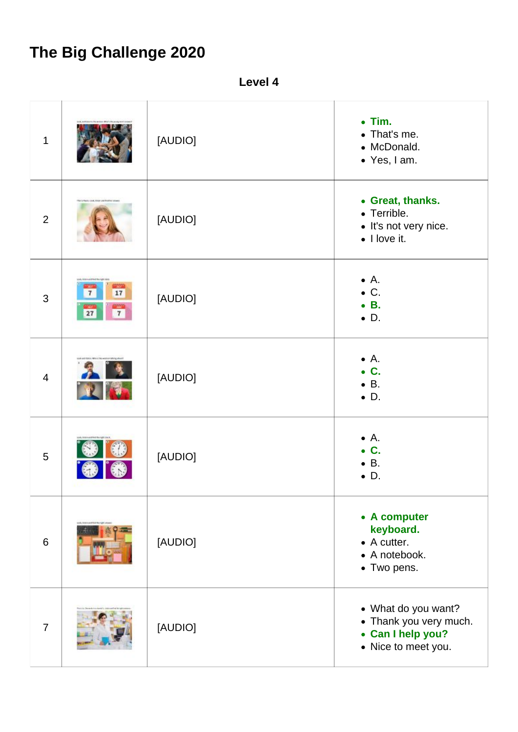## **The Big Challenge 2020**

**Level 4**

| 1              |                                                                                                  | [AUDIO] | $\bullet$ Tim.<br>• That's me.<br>• McDonald.<br>• Yes, I am.                             |
|----------------|--------------------------------------------------------------------------------------------------|---------|-------------------------------------------------------------------------------------------|
| $\overline{2}$ | This is Fauto, cook, thisn just this bo pit                                                      | [AUDIO] | • Great, thanks.<br>• Terrible.<br>• It's not very nice.<br>$\bullet$ I love it.          |
| 3              | on, kan artist favori de<br><b>COMPANY</b><br>17<br>$\overline{7}$<br>mm<br>$\overline{7}$<br>27 | [AUDIO] | $\bullet$ A.<br>$\bullet$ C.<br>$\bullet$ B.<br>$\bullet$ D.                              |
| $\overline{4}$ |                                                                                                  | [AUDIO] | $\bullet$ A.<br>$\bullet$ C.<br>$\bullet$ B.<br>$\bullet$ D.                              |
| 5              |                                                                                                  | [AUDIO] | $\bullet$ A.<br>$\bullet$ C.<br>$\bullet$ B.<br>$\bullet$ D.                              |
| $6\phantom{1}$ | ook, links-activist the right pro-                                                               | [AUDIO] | • A computer<br>keyboard.<br>$\bullet$ A cutter.<br>• A notebook.<br>• Two pens.          |
| $\overline{7}$ |                                                                                                  | [AUDIO] | • What do you want?<br>• Thank you very much.<br>• Can I help you?<br>• Nice to meet you. |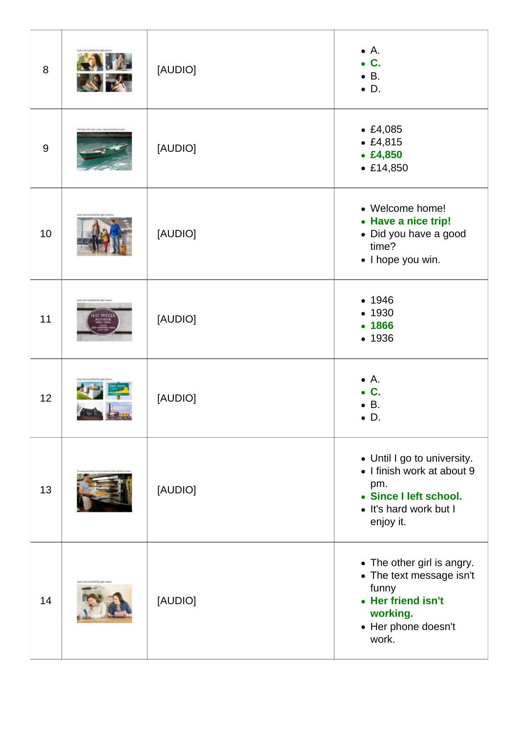| 8     |                                           | [AUDIO] | $\bullet$ A.<br>$\bullet$ C.<br>$\bullet$ B.<br>$\bullet$ D.                                                                      |
|-------|-------------------------------------------|---------|-----------------------------------------------------------------------------------------------------------------------------------|
| $9\,$ | No best is for sale. Once, may nucli-best | [AUDIO] | • £4,085<br>• £4,815<br>• £4,850<br>• £14,850                                                                                     |
| 10    |                                           | [AUDIO] | • Welcome home!<br>• Have a nice trip!<br>• Did you have a good<br>time?<br>· I hope you win.                                     |
| 11    | ica ma vight smow                         | [AUDIO] | • 1946<br>• 1930<br>• 1866<br>• 1936                                                                                              |
| 12    |                                           | [AUDIO] | $\bullet$ A.<br>$\bullet$ C.<br>$\bullet$ B.<br>$\bullet$ D                                                                       |
| 13    |                                           | [AUDIO] | • Until I go to university.<br>• I finish work at about 9<br>pm.<br>• Since I left school.<br>• It's hard work but I<br>enjoy it. |
| 14    |                                           | [AUDIO] | • The other girl is angry.<br>• The text message isn't<br>funny<br>• Her friend isn't<br>working.<br>• Her phone doesn't<br>work. |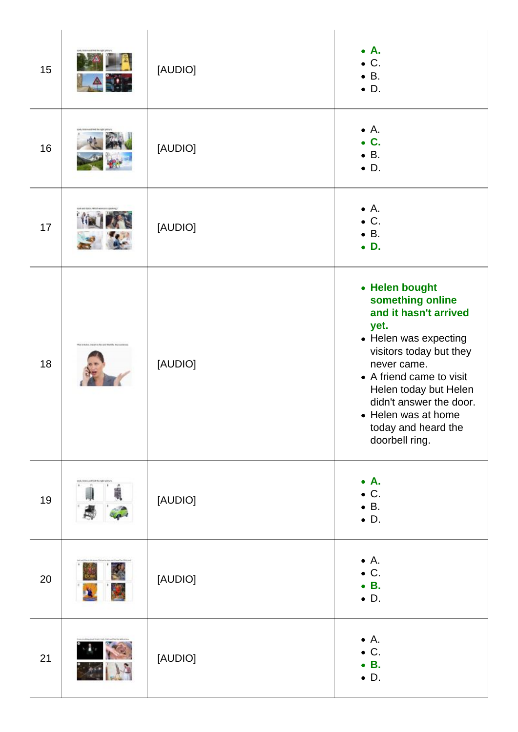| 15 |                                                         | [AUDIO] | $\bullet$ A.<br>$\bullet$ C.<br>$\bullet$ B.<br>$\bullet$ D.                                                                                                                                                                                                                           |
|----|---------------------------------------------------------|---------|----------------------------------------------------------------------------------------------------------------------------------------------------------------------------------------------------------------------------------------------------------------------------------------|
| 16 |                                                         | [AUDIO] | $\bullet$ A.<br>$\bullet$ C.<br>$\bullet$ B.<br>$\bullet$ D.                                                                                                                                                                                                                           |
| 17 |                                                         | [AUDIO] | $\bullet$ A.<br>$\bullet$ C.<br>$\bullet$ B.<br>$\bullet$ D.                                                                                                                                                                                                                           |
| 18 | This is maken Contact by har and that the true perdense | [AUDIO] | • Helen bought<br>something online<br>and it hasn't arrived<br>yet.<br>• Helen was expecting<br>visitors today but they<br>never came.<br>• A friend came to visit<br>Helen today but Helen<br>didn't answer the door.<br>• Helen was at home<br>today and heard the<br>doorbell ring. |
| 19 |                                                         | [AUDIO] | $\bullet$ A.<br>$\bullet$ C.<br>$\bullet$ B.<br>$\bullet$ D.                                                                                                                                                                                                                           |
| 20 |                                                         | [AUDIO] | $\bullet$ A.<br>$\bullet$ C.<br>$\bullet$ B.<br>$\bullet$ D.                                                                                                                                                                                                                           |
| 21 |                                                         | [AUDIO] | $\bullet$ A.<br>$\bullet$ C.<br>$\bullet$ B.<br>$\bullet$ D.                                                                                                                                                                                                                           |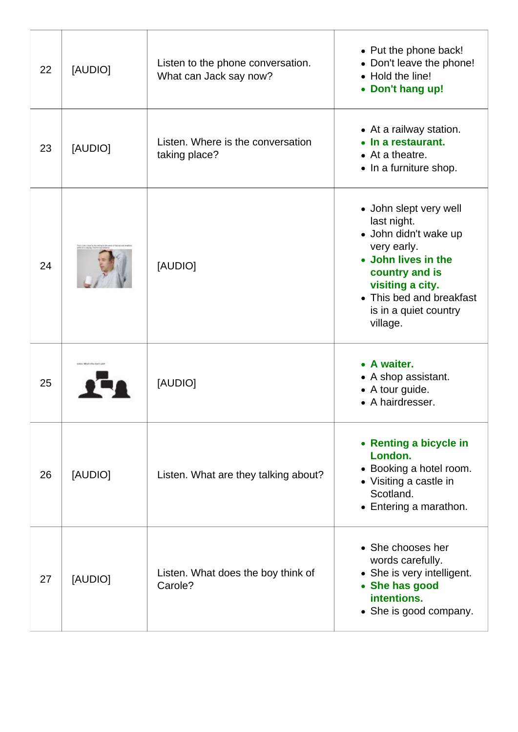| 22 | [AUDIO]          | Listen to the phone conversation.<br>What can Jack say now? | • Put the phone back!<br>• Don't leave the phone!<br>• Hold the line!<br>• Don't hang up!                                                                                                                   |
|----|------------------|-------------------------------------------------------------|-------------------------------------------------------------------------------------------------------------------------------------------------------------------------------------------------------------|
| 23 | [AUDIO]          | Listen. Where is the conversation<br>taking place?          | • At a railway station.<br>• In a restaurant.<br>• At a theatre.<br>• In a furniture shop.                                                                                                                  |
| 24 |                  | [AUDIO]                                                     | • John slept very well<br>last night.<br>· John didn't wake up<br>very early.<br>• John lives in the<br>country and is<br>visiting a city.<br>• This bed and breakfast<br>is in a quiet country<br>village. |
| 25 | IN MUCH A RAFLER | [AUDIO]                                                     | • A waiter.<br>• A shop assistant.<br>• A tour guide.<br>• A hairdresser.                                                                                                                                   |
| 26 | [AUDIO]          | Listen. What are they talking about?                        | • Renting a bicycle in<br>London.<br>• Booking a hotel room.<br>• Visiting a castle in<br>Scotland.<br>• Entering a marathon.                                                                               |
| 27 | [AUDIO]          | Listen. What does the boy think of<br>Carole?               | • She chooses her<br>words carefully.<br>• She is very intelligent.<br>• She has good<br>intentions.<br>• She is good company.                                                                              |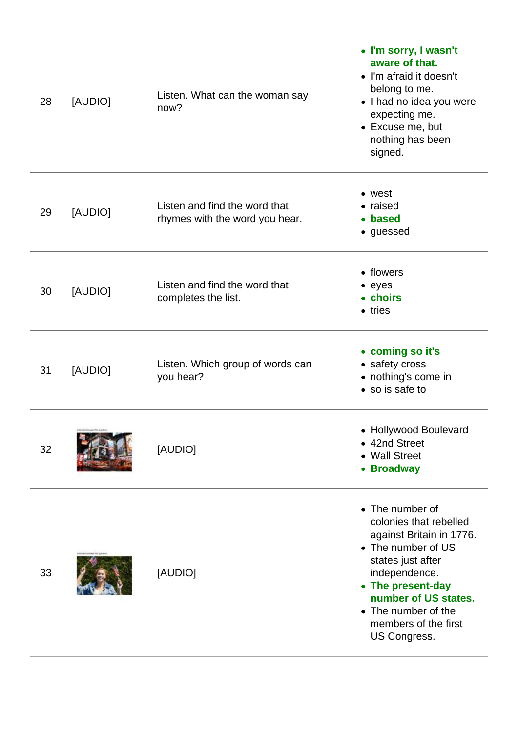| 28 | [AUDIO] | Listen. What can the woman say<br>now?                          | • I'm sorry, I wasn't<br>aware of that.<br>• I'm afraid it doesn't<br>belong to me.<br>• I had no idea you were<br>expecting me.<br>• Excuse me, but<br>nothing has been<br>signed.                                                           |
|----|---------|-----------------------------------------------------------------|-----------------------------------------------------------------------------------------------------------------------------------------------------------------------------------------------------------------------------------------------|
| 29 | [AUDIO] | Listen and find the word that<br>rhymes with the word you hear. | • west<br>• raised<br>• based<br>• guessed                                                                                                                                                                                                    |
| 30 | [AUDIO] | Listen and find the word that<br>completes the list.            | • flowers<br>$\bullet$ eyes<br>• choirs<br>• tries                                                                                                                                                                                            |
| 31 | [AUDIO] | Listen. Which group of words can<br>you hear?                   | • coming so it's<br>• safety cross<br>• nothing's come in<br>• so is safe to                                                                                                                                                                  |
| 32 |         | [AUDIO]                                                         | • Hollywood Boulevard<br>• 42nd Street<br>• Wall Street<br>• Broadway                                                                                                                                                                         |
| 33 |         | [AUDIO]                                                         | • The number of<br>colonies that rebelled<br>against Britain in 1776.<br>• The number of US<br>states just after<br>independence.<br>• The present-day<br>number of US states.<br>• The number of the<br>members of the first<br>US Congress. |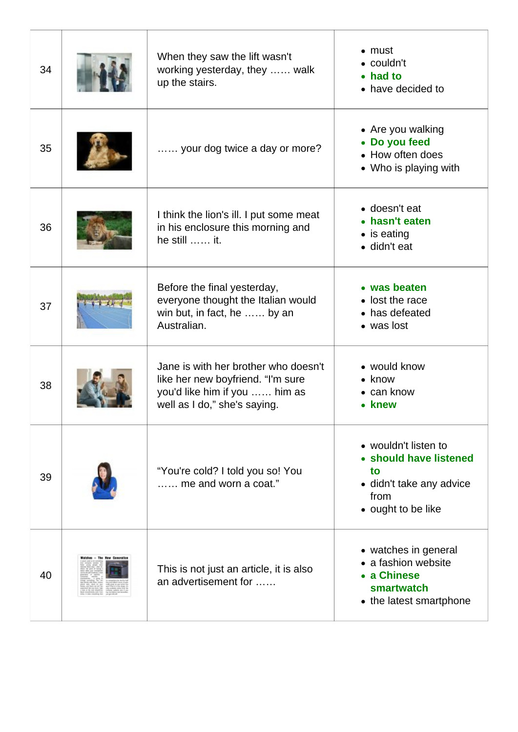| 34 | When they saw the lift wasn't<br>working yesterday, they  walk<br>up the stairs.                                                           | $\bullet$ must<br>$\bullet$ couldn't<br>• had to<br>• have decided to                                          |
|----|--------------------------------------------------------------------------------------------------------------------------------------------|----------------------------------------------------------------------------------------------------------------|
| 35 | your dog twice a day or more?                                                                                                              | • Are you walking<br>• Do you feed<br>• How often does<br>• Who is playing with                                |
| 36 | I think the lion's ill. I put some meat<br>in his enclosure this morning and<br>he still  it.                                              | • doesn't eat<br>• hasn't eaten<br>$\bullet$ is eating<br>· didn't eat                                         |
| 37 | Before the final yesterday,<br>everyone thought the Italian would<br>win but, in fact, he  by an<br>Australian.                            | • was beaten<br>• lost the race<br>• has defeated<br>• was lost                                                |
| 38 | Jane is with her brother who doesn't<br>like her new boyfriend. "I'm sure<br>you'd like him if you  him as<br>well as I do," she's saying. | • would know<br>$\bullet$ know<br>$\bullet$ can know<br>• knew                                                 |
| 39 | "You're cold? I told you so! You<br>me and worn a coat."                                                                                   | • wouldn't listen to<br>• should have listened<br>to<br>• didn't take any advice<br>from<br>• ought to be like |
| 40 | This is not just an article, it is also<br>an advertisement for                                                                            | • watches in general<br>• a fashion website<br>• a Chinese<br>smartwatch<br>• the latest smartphone            |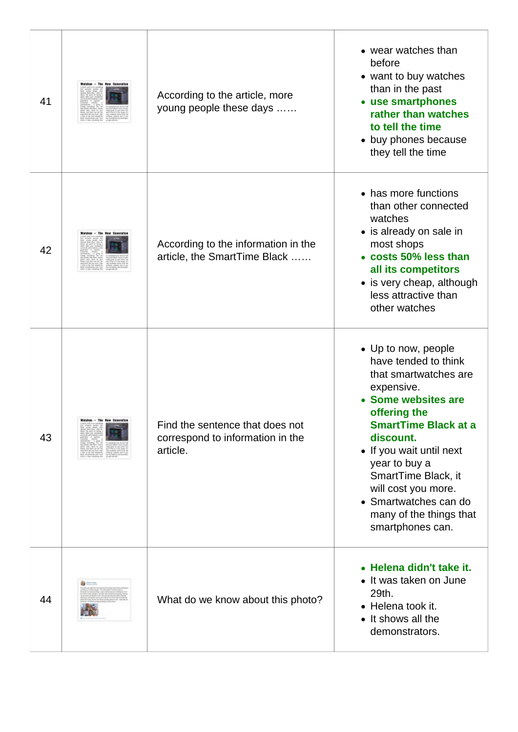| 41 |                             | According to the article, more<br>young people these days                       | • wear watches than<br>before<br>• want to buy watches<br>than in the past<br>• use smartphones<br>rather than watches<br>to tell the time<br>• buy phones because<br>they tell the time                                                                                                                                                 |
|----|-----------------------------|---------------------------------------------------------------------------------|------------------------------------------------------------------------------------------------------------------------------------------------------------------------------------------------------------------------------------------------------------------------------------------------------------------------------------------|
| 42 |                             | According to the information in the<br>article, the SmartTime Black             | • has more functions<br>than other connected<br>watches<br>• is already on sale in<br>most shops<br>• costs 50% less than<br>all its competitors<br>• is very cheap, although<br>less attractive than<br>other watches                                                                                                                   |
| 43 | Walzhes - The New Generally | Find the sentence that does not<br>correspond to information in the<br>article. | • Up to now, people<br>have tended to think<br>that smartwatches are<br>expensive.<br>• Some websites are<br>offering the<br><b>SmartTime Black at a</b><br>discount.<br>• If you wait until next<br>year to buy a<br>SmartTime Black, it<br>will cost you more.<br>• Smartwatches can do<br>many of the things that<br>smartphones can. |
| 44 |                             | What do we know about this photo?                                               | • Helena didn't take it.<br>• It was taken on June<br>29th.<br>• Helena took it.<br>• It shows all the<br>demonstrators.                                                                                                                                                                                                                 |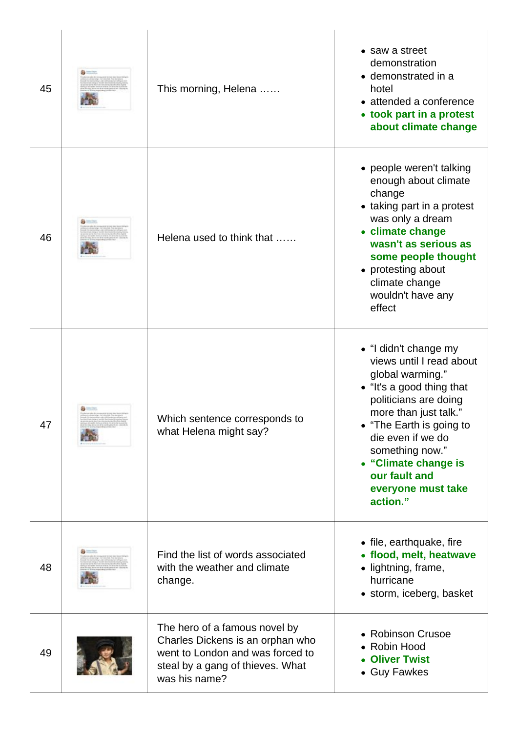| 45 | This morning, Helena                                                                                                                                       | • saw a street<br>demonstration<br>• demonstrated in a<br>hotel<br>• attended a conference<br>• took part in a protest<br>about climate change                                                                                                                                                      |
|----|------------------------------------------------------------------------------------------------------------------------------------------------------------|-----------------------------------------------------------------------------------------------------------------------------------------------------------------------------------------------------------------------------------------------------------------------------------------------------|
| 46 | Helena used to think that                                                                                                                                  | • people weren't talking<br>enough about climate<br>change<br>• taking part in a protest<br>was only a dream<br>• climate change<br>wasn't as serious as<br>some people thought<br>• protesting about<br>climate change<br>wouldn't have any<br>effect                                              |
| 47 | Which sentence corresponds to<br>what Helena might say?                                                                                                    | • "I didn't change my<br>views until I read about<br>global warming."<br>• "It's a good thing that<br>politicians are doing<br>more than just talk."<br>• "The Earth is going to<br>die even if we do<br>something now."<br>• "Climate change is<br>our fault and<br>everyone must take<br>action." |
| 48 | Find the list of words associated<br>with the weather and climate<br>change.                                                                               | • file, earthquake, fire<br>• flood, melt, heatwave<br>• lightning, frame,<br>hurricane<br>• storm, iceberg, basket                                                                                                                                                                                 |
| 49 | The hero of a famous novel by<br>Charles Dickens is an orphan who<br>went to London and was forced to<br>steal by a gang of thieves. What<br>was his name? | • Robinson Crusoe<br>• Robin Hood<br>• Oliver Twist<br>• Guy Fawkes                                                                                                                                                                                                                                 |